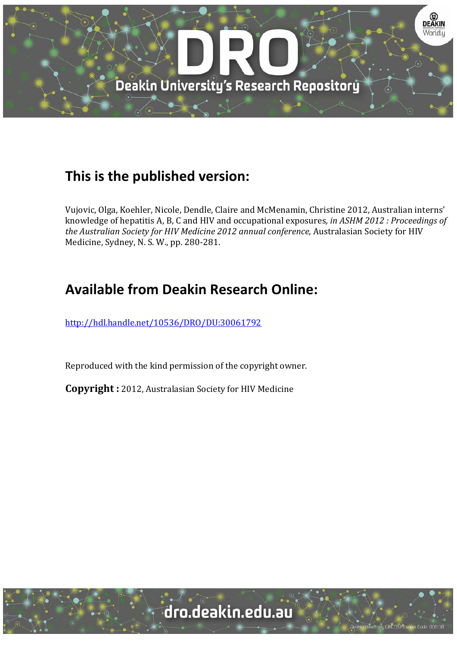

## **This is the published version:**

Vujovic, Olga, Koehler, Nicole, Dendle, Claire and McMenamin, Christine 2012, Australian interns' knowledge of hepatitis A, B, C and HIV and occupational exposures*, in ASHM 2012 : Proceedings of the Australian Society for HIV Medicine 2012 annual conference*, Australasian Society for HIV Medicine, Sydney, N. S. W., pp. 280-281.

## **Available from Deakin Research Online:**

http://hdl.handle.net/10536/DRO/DU:30061792

Reproduced with the kind permission of the copyright owner.

**Copyright** : 2012, Australasian Society for HIV Medicine

dro.deakin.edu.au

University CRICOS Provider Code: 00113E